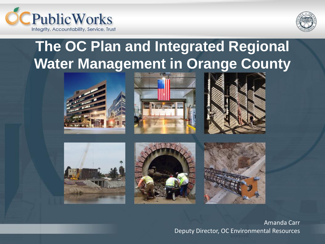



### **The OC Plan and Integrated Regional Water Management in Orange County**













#### Amanda Carr Deputy Director, OC Environmental Resources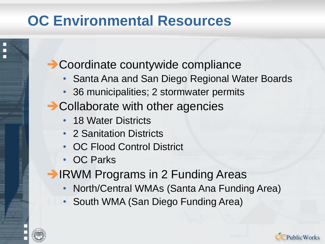### **OC Environmental Resources**

**→ Coordinate countywide compliance** 

- Santa Ana and San Diego Regional Water Boards
- 36 municipalities; 2 stormwater permits
- **→ Collaborate with other agencies** 
	- 18 Water Districts
	- 2 Sanitation Districts
	- OC Flood Control District
	- OC Parks
- **→ IRWM Programs in 2 Funding Areas** 
	- North/Central WMAs (Santa Ana Funding Area)
	- South WMA (San Diego Funding Area)



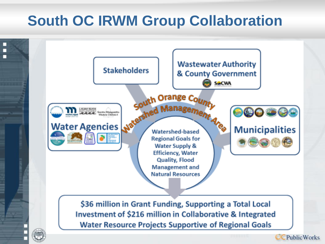### **South OC IRWM Group Collaboration**

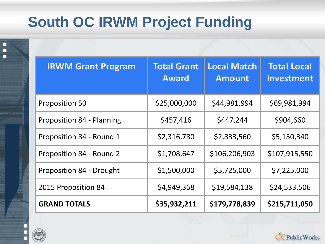## **South OC IRWM Project Funding**

| <b>Total Grant</b><br><b>Award</b> | <b>Local Match</b><br><b>Amount</b> | <b>Total Local</b><br>Investment |
|------------------------------------|-------------------------------------|----------------------------------|
| \$25,000,000                       | \$44,981,994                        | \$69,981,994                     |
| \$457,416                          | \$447,244                           | \$904,660                        |
| \$2,316,780                        | \$2,833,560                         | \$5,150,340                      |
| \$1,708,647                        | \$106,206,903                       | \$107,915,550                    |
| \$1,500,000                        | \$5,725,000                         | \$7,225,000                      |
| \$4,949,368                        | \$19,584,138                        | \$24,533,506                     |
| \$35,932,211                       | \$179,778,839                       | \$215,711,050                    |
|                                    |                                     |                                  |



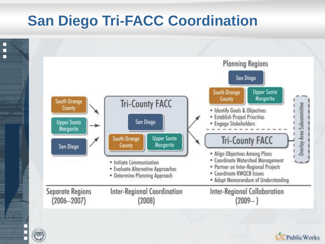### **San Diego Tri-FACC Coordination**





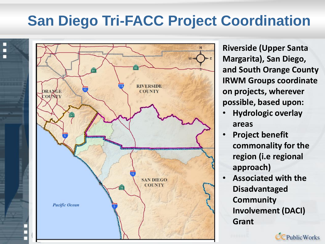#### **San Diego Tri-FACC Project Coordination**



**Riverside (Upper Santa Margarita), San Diego, and South Orange County IRWM Groups coordinate on projects, wherever possible, based upon:**

- **Hydrologic overlay areas**
- **Project benefit commonality for the region (i.e regional approach)**
- **Associated with the Disadvantaged Community Involvement (DACI) Grant**

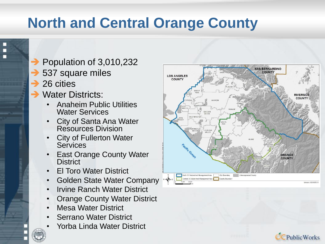# **North and Central Orange County**

- $\rightarrow$  Population of 3,010,232
- **→ 537 square miles**
- $\rightarrow$  26 cities
- **→ Water Districts:** 
	- Anaheim Public Utilities Water Services
	- City of Santa Ana Water Resources Division
	- **City of Fullerton Water Services**
	- **East Orange County Water District**
	- El Toro Water District
	- Golden State Water Company
	- **Irvine Ranch Water District**
	- **Orange County Water District**
	- Mesa Water District
	- **Serrano Water District**
	- Yorba Linda Water District



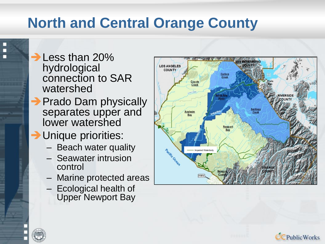## **North and Central Orange County**

**→ Less than 20%** hydrological connection to SAR watershed

- **→ Prado Dam physically** separates upper and lower watershed
- **→ Unique priorities:** 
	- Beach water quality
	- Seawater intrusion control
	- Marine protected areas
	- Ecological health of Upper Newport Bay



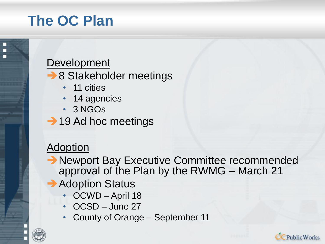### **The OC Plan**



- **→ 8 Stakeholder meetings** 
	- 11 cities
	- 14 agencies
	- 3 NGOs
- **→ 19 Ad hoc meetings**

#### **Adoption**

- **→ Newport Bay Executive Committee recommended** approval of the Plan by the RWMG – March 21
- **→ Adoption Status** 
	- OCWD April 18
	- OCSD June 27
	- County of Orange September 11

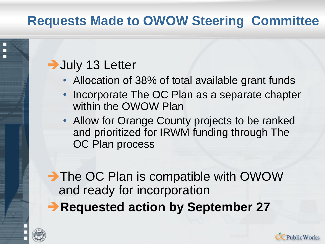#### **Requests Made to OWOW Steering Committee**

#### **→ July 13 Letter**

- Allocation of 38% of total available grant funds
- Incorporate The OC Plan as a separate chapter within the OWOW Plan
- Allow for Orange County projects to be ranked and prioritized for IRWM funding through The OC Plan process

➔The OC Plan is compatible with OWOW and ready for incorporation

➔**Requested action by September 27**



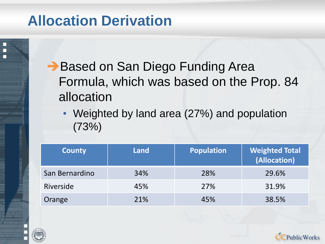#### **Allocation Derivation**

**→ Based on San Diego Funding Area** Formula, which was based on the Prop. 84 allocation

• Weighted by land area (27%) and population (73%)

| <b>County</b>  | Land | <b>Population</b> | <b>Weighted Total</b><br>(Allocation) |
|----------------|------|-------------------|---------------------------------------|
| San Bernardino | 34%  | 28%               | 29.6%                                 |
| Riverside      | 45%  | 27%               | 31.9%                                 |
| Orange         | 21%  | 45%               | 38.5%                                 |